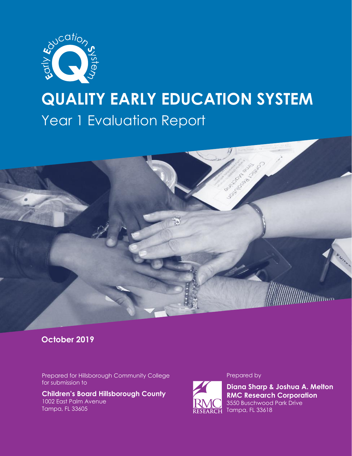

# **QUALITY EARLY EDUCATION SYSTEM** Year 1 Evaluation Report



### **October 2019**

Prepared for Hillsborough Community College for submission to

**Children's Board Hillsborough County** 1002 East Palm Avenue Tampa, FL 33605

#### Prepared by



**Diana Sharp & Joshua A. Melton RMC Research Corporation** 3550 Buschwood Park Drive RESEARCH Tampa, FL 33618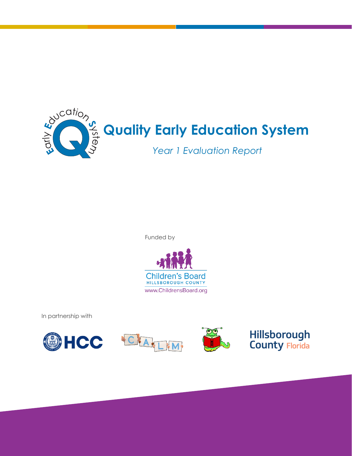

Funded by



In partnership with







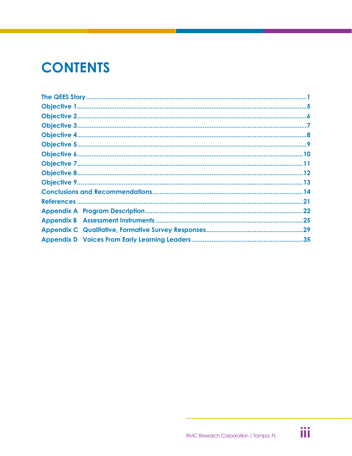# **CONTENTS**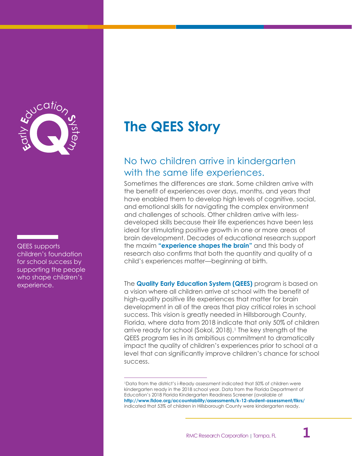

QEES supports children's foundation for school success by supporting the people who shape children's experience.

# <span id="page-3-0"></span>**The QEES Story**

## No two children arrive in kindergarten with the same life experiences.

Sometimes the differences are stark. Some children arrive with the benefit of experiences over days, months, and years that have enabled them to develop high levels of cognitive, social, and emotional skills for navigating the complex environment and challenges of schools. Other children arrive with lessdeveloped skills because their life experiences have been less ideal for stimulating positive growth in one or more areas of brain development. Decades of educational research support the maxim **"experience shapes the brain"** and this body of research also confirms that both the quantity and quality of a child's experiences matter—beginning at birth.

The **Quality Early Education System (QEES)** program is based on a vision where all children arrive at school with the benefit of high-quality positive life experiences that matter for brain development in all of the areas that play critical roles in school success. This vision is greatly needed in Hillsborough County, Florida, where data from 2018 indicate that only 50% of children arrive ready for school (Sokol, 2018).<sup>1</sup> The key strength of the QEES program lies in its ambitious commitment to dramatically impact the quality of children's experiences prior to school at a level that can significantly improve children's chance for school success.

 $\overline{a}$ 



<sup>1</sup>Data from the district's i-Ready assessment indicated that 50% of children were kindergarten ready in the 2018 school year. Data from the Florida Department of Education's 2018 Florida Kindergarten Readiness Screener (available at **<http://www.fldoe.org/accountability/assessments/k-12-student-assessment/flkrs/>** indicated that 53% of children in Hillsborough County were kindergarten ready.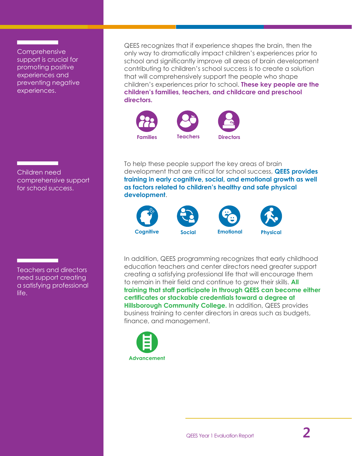**Comprehensive** support is crucial for promoting positive experiences and preventing negative experiences.

Children need comprehensive support for school success.

Teachers and directors need support creating a satisfying professional life.

QEES recognizes that if experience shapes the brain, then the only way to dramatically impact children's experiences prior to school and significantly improve all areas of brain development contributing to children's school success is to create a solution that will comprehensively support the people who shape children's experiences prior to school. **These key people are the children's families, teachers, and childcare and preschool directors.**



To help these people support the key areas of brain development that are critical for school success, **QEES provides training in early cognitive, social, and emotional growth as well as factors related to children's healthy and safe physical development**.



In addition, QEES programming recognizes that early childhood education teachers and center directors need greater support creating a satisfying professional life that will encourage them to remain in their field and continue to grow their skills. **All training that staff participate in through QEES can become either certificates or stackable credentials toward a degree at Hillsborough Community College.** In addition, QEES provides business training to center directors in areas such as budgets, finance, and management.

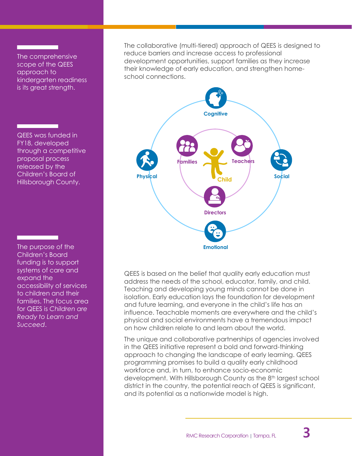The comprehensive scope of the QEES approach to kindergarten readiness is its great strength.

QEES was funded in FY18, developed through a competitive proposal process released by the Children's Board of Hillsborough County.

The purpose of the Children's Board funding is to support systems of care and expand the accessibility of services to children and their families. The focus area for QEES is *Children are Ready to Learn and Succeed*.

The collaborative (multi-tiered) approach of QEES is designed to reduce barriers and increase access to professional development opportunities, support families as they increase their knowledge of early education, and strengthen homeschool connections.



QEES is based on the belief that quality early education must address the needs of the school, educator, family, and child. Teaching and developing young minds cannot be done in isolation. Early education lays the foundation for development and future learning, and everyone in the child's life has an influence. Teachable moments are everywhere and the child's physical and social environments have a tremendous impact on how children relate to and learn about the world.

The unique and collaborative partnerships of agencies involved in the QEES initiative represent a bold and forward-thinking approach to changing the landscape of early learning. QEES programming promises to build a quality early childhood workforce and, in turn, to enhance socio-economic development. With Hillsborough County as the 8<sup>th</sup> largest school district in the country, the potential reach of QEES is significant, and its potential as a nationwide model is high.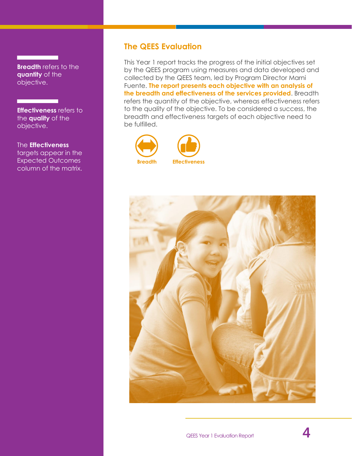**Breadth** refers to the **quantity** of the objective.

**Effectiveness** refers to the **quality** of the objective.

The **Effectiveness** targets appear in the Expected Outcomes column of the matrix.

### **The QEES Evaluation**

This Year 1 report tracks the progress of the initial objectives set by the QEES program using measures and data developed and collected by the QEES team, led by Program Director Marni Fuente. **The report presents each objective with an analysis of the breadth and effectiveness of the services provided**. Breadth refers the quantity of the objective, whereas effectiveness refers to the quality of the objective. To be considered a success, the breadth and effectiveness targets of each objective need to be fulfilled.





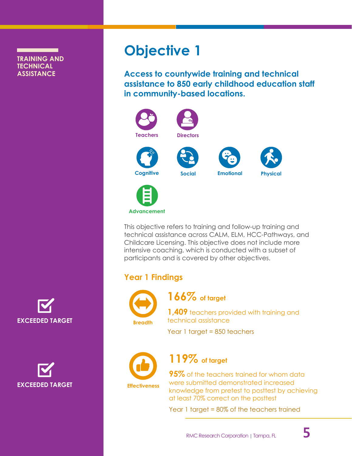### <span id="page-7-0"></span>**TRAINING AND TECHNICAL ASSISTANCE**



**EXCEEDED TARGET**

# **Objective 1**

**Access to countywide training and technical assistance to 850 early childhood education staff in community-based locations.**



This objective refers to training and follow-up training and technical assistance across CALM, ELM, HCC-Pathways, and Childcare Licensing. This objective does not include more intensive coaching, which is conducted with a subset of participants and is covered by other objectives.

## **Year 1 Findings**

**Advancement**



**166% of target**

**1,409** teachers provided with training and technical assistance

Year 1 target = 850 teachers



## **119% of target**

**Effectiveness**

**95%** of the teachers trained for whom data were submitted demonstrated increased knowledge from pretest to posttest by achieving at least 70% correct on the posttest

Year 1 target = 80% of the teachers trained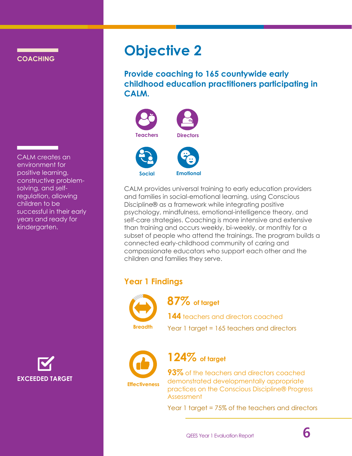<span id="page-8-0"></span>**COACHING**

CALM creates an environment for positive learning, constructive problemsolving, and selfregulation, allowing children to be successful in their early years and ready for kindergarten.

**EXCEEDED TARGET**

## **Objective 2**

**Provide coaching to 165 countywide early childhood education practitioners participating in CALM.**



CALM provides universal training to early education providers and families in social-emotional learning, using Conscious Discipline® as a framework while integrating positive psychology, mindfulness, emotional-intelligence theory, and self-care strategies. Coaching is more intensive and extensive than training and occurs weekly, bi-weekly, or monthly for a subset of people who attend the trainings. The program builds a connected early-childhood community of caring and compassionate educators who support each other and the children and families they serve.

## **Year 1 Findings**



**87% of target**

**144** teachers and directors coached **Breadth** Year 1 target = 165 teachers and directors



**124% of target**

**Effectiveness**

**93%** of the teachers and directors coached demonstrated developmentally appropriate practices on the Conscious Discipline® Progress Assessment

Year 1 target = 75% of the teachers and directors

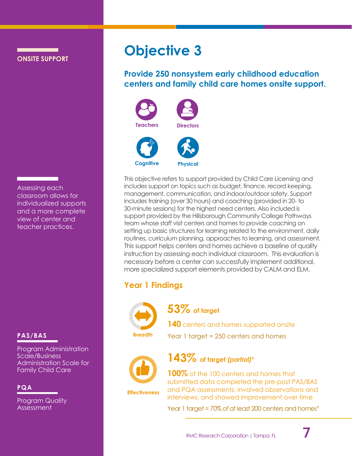<span id="page-9-0"></span>**ONSITE SUPPORT**

Assessing each classroom allows for individualized supports and a more complete view of center and teacher practices.

Program Administration Scale/Business Administration Scale for Family Child Care

### **PQA**

Program Quality Assessment

# **Objective 3**

**Provide 250 nonsystem early childhood education centers and family child care homes onsite support.**



This objective refers to support provided by Child Care Licensing and includes support on topics such as budget, finance, record keeping, management, communication, and indoor/outdoor safety. Support includes training (over 30 hours) and coaching (provided in 20- to 30-minute sessions) for the highest need centers. Also included is support provided by the Hillsborough Community College Pathways team whose staff visit centers and homes to provide coaching on setting up basic structures for learning related to the environment, daily routines, curriculum planning, approaches to learning, and assessment. This support helps centers and homes achieve a baseline of quality instruction by assessing each individual classroom. This evaluation is necessary before a center can successfully implement additional, more specialized support elements provided by CALM and ELM.

## **Year 1 Findings**



**53% of target**

**140** centers and homes supported onsite **PAS/BAS Breadth Breadth PAS/BAS Breadth Breadth Breadth Breadth Breadth Breadth Breadth Breadth Breadth Breadth Breadth Breadth Breadth Breadth Breadth Breadth Breadth Breadth B** 



**Effectiveness**

## **143% of target** *(partial)*

**100%** of the 100 centers and homes that submitted data completed the pre-post PAS/BAS and PQA assessments, involved observations and interviews, and showed improvement over time

Year 1 target = 70% *of* at least 200 centers and homes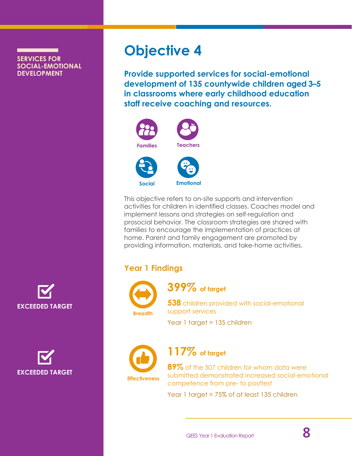### <span id="page-10-0"></span>**SERVICES FOR SOCIAL-EMOTIONAL DEVELOPMENT**





# **Objective 4**

**Provide supported services for social-emotional development of 135 countywide children aged 3–5 in classrooms where early childhood education staff receive coaching and resources.**



This objective refers to on-site supports and intervention activities for children in identified classes. Coaches model and implement lessons and strategies on self-regulation and prosocial behavior. The classroom strategies are shared with families to encourage the implementation of practices at home. Parent and family engagement are promoted by providing information, materials, and take-home activities.

## **Year 1 Findings**



**399% of target**

**538** children provided with social-emotional support services

Year 1 target = 135 children



**117% of target**

**89%** of the 507 children for whom data were submitted demonstrated increased social-emotional competence from pre- to posttest

Year 1 target = 75% of at least 135 children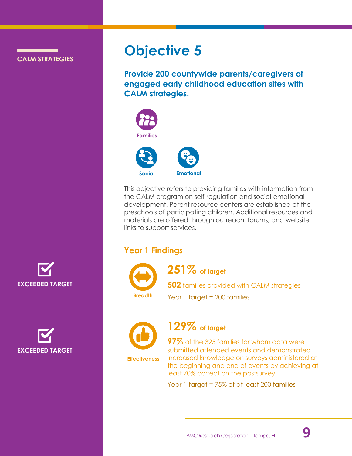**CALM STRATEGIES**

## <span id="page-11-0"></span>**Objective 5**

**Provide 200 countywide parents/caregivers of engaged early childhood education sites with CALM strategies.**



This objective refers to providing families with information from the CALM program on self-regulation and social-emotional development. Parent resource centers are established at the preschools of participating children. Additional resources and materials are offered through outreach, forums, and website links to support services.

## **Year 1 Findings**



**251% of target**

**502** families provided with CALM strategies Year 1 target = 200 families **Breadth**



**129% of target**

**Effectiveness**

**97%** of the 325 families for whom data were submitted attended events and demonstrated increased knowledge on surveys administered at the beginning and end of events by achieving at least 70% correct on the postsurvey

Year 1 target = 75% of at least 200 families



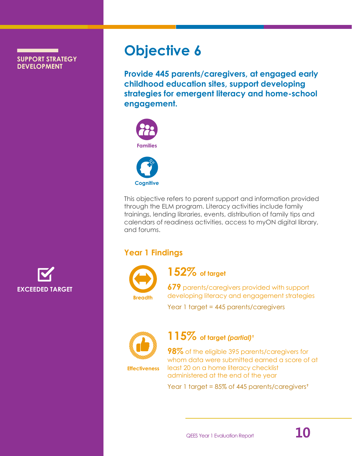**SUPPORT STRATEGY DEVELOPMENT**



# <span id="page-12-0"></span>**Objective 6**

**Provide 445 parents/caregivers, at engaged early childhood education sites, support developing strategies for emergent literacy and home-school engagement.**



This objective refers to parent support and information provided through the ELM program. Literacy activities include family trainings, lending libraries, events, distribution of family tips and calendars of readiness activities, access to myON digital library, and forums.

## **Year 1 Findings**



**152% of target**

**679** parents/caregivers provided with support developing literacy and engagement strategies

Year 1 target = 445 parents/caregivers



## **115% of target** *(partial)*

**Effectiveness**

**98%** of the eligible 395 parents/caregivers for whom data were submitted earned a score of at least 20 on a home literacy checklist administered at the end of the year

Year 1 target = 85% of 445 parents/caregivers<sup>t</sup>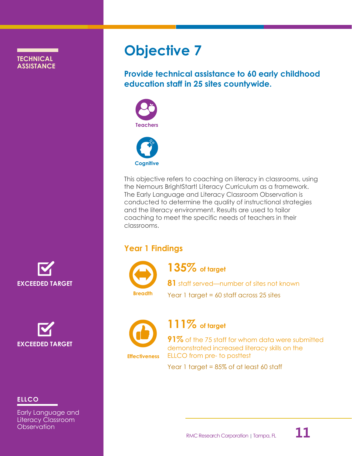<span id="page-13-0"></span>**TECHNICAL ASSISTANCE** **Objective 7**

**Provide technical assistance to 60 early childhood education staff in 25 sites countywide.**





This objective refers to coaching on literacy in classrooms, using the Nemours BrightStart! Literacy Curriculum as a framework. The Early Language and Literacy Classroom Observation is conducted to determine the quality of instructional strategies and the literacy environment. Results are used to tailor coaching to meet the specific needs of teachers in their classrooms.

## **Year 1 Findings**



**135% of target**

**81** staff served—number of sites not known **Breadth** Year 1 target = 60 staff across 25 sites



**Effectiveness**

**111% of target**

**91%** of the 75 staff for whom data were submitted demonstrated increased literacy skills on the ELLCO from pre- to posttest

Year 1 target = 85% of at least 60 staff





### **ELLCO**

Early Language and Literacy Classroom **Observation**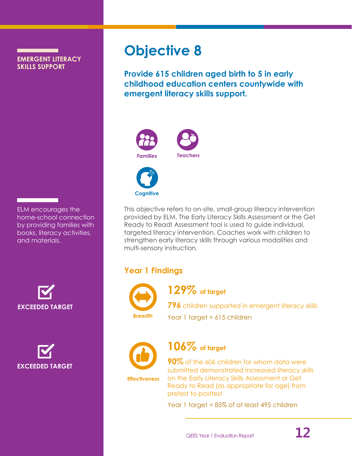**EMERGENT LITERACY SKILLS SUPPORT**

ELM encourages the home-school connection by providing families with books, literacy activities, and materials.



**EXCEEDED TARGET**

# <span id="page-14-0"></span>**Objective 8**

**Provide 615 children aged birth to 5 in early childhood education centers countywide with emergent literacy skills support.**





This objective refers to on-site, small-group literacy intervention provided by ELM. The Early Literacy Skills Assessment or the Get Ready to Read! Assessment tool is used to guide individual, targeted literacy intervention. Coaches work with children to strengthen early literacy skills through various modalities and multi-sensory instruction.

## **Year 1 Findings**



**129% of target**

**796** children supported in emergent literacy skills Year 1 target = 615 children **Breadth**



**106% of target**

**Effectiveness**

**90%** of the 606 children for whom data were submitted demonstrated increased literacy skills on the Early Literacy Skills Assessment or Get Ready to Read (as appropriate for age) from pretest to posttest

Year 1 target = 85% of at least 495 children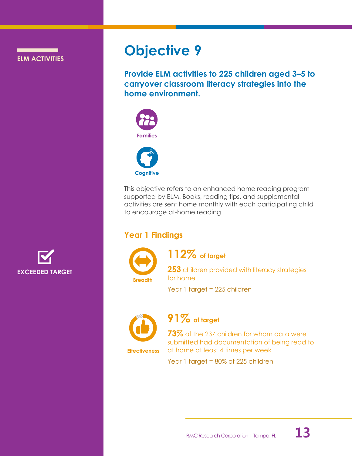**ELM ACTIVITIES**

<span id="page-15-0"></span>**Objective 9**

**Provide ELM activities to 225 children aged 3–5 to carryover classroom literacy strategies into the home environment.**



This objective refers to an enhanced home reading program supported by ELM. Books, reading tips, and supplemental activities are sent home monthly with each participating child to encourage at-home reading.

## **Year 1 Findings**



**112% of target**

**253** children provided with literacy strategies for home

Year 1 target = 225 children



**Effectiveness**

**91% of target**

**73%** of the 237 children for whom data were submitted had documentation of being read to at home at least 4 times per week

Year 1 target = 80% of 225 children



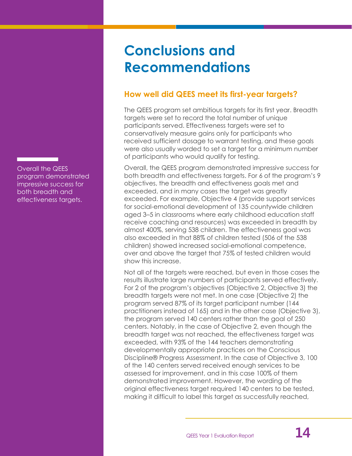Overall the QEES program demonstrated impressive success for both breadth and effectiveness targets.

# <span id="page-16-0"></span>**Conclusions and Recommendations**

## **How well did QEES meet its first-year targets?**

The QEES program set ambitious targets for its first year. Breadth targets were set to record the total number of unique participants served. Effectiveness targets were set to conservatively measure gains only for participants who received sufficient dosage to warrant testing, and these goals were also usually worded to set a target for a minimum number of participants who would qualify for testing.

Overall, the QEES program demonstrated impressive success for both breadth and effectiveness targets. For 6 of the program's 9 objectives, the breadth and effectiveness goals met and exceeded, and in many cases the target was greatly exceeded. For example, Objective 4 (provide support services for social-emotional development of 135 countywide children aged 3–5 in classrooms where early childhood education staff receive coaching and resources) was exceeded in breadth by almost 400%, serving 538 children. The effectiveness goal was also exceeded in that 88% of children tested (506 of the 538 children) showed increased social-emotional competence, over and above the target that 75% of tested children would show this increase.

Not all of the targets were reached, but even in those cases the results illustrate large numbers of participants served effectively. For 2 of the program's objectives (Objective 2, Objective 3) the breadth targets were not met. In one case (Objective 2) the program served 87% of its target participant number (144 practitioners instead of 165) and in the other case (Objective 3), the program served 140 centers rather than the goal of 250 centers. Notably, in the case of Objective 2, even though the breadth target was not reached, the effectiveness target was exceeded, with 93% of the 144 teachers demonstrating developmentally appropriate practices on the Conscious Discipline® Progress Assessment. In the case of Objective 3, 100 of the 140 centers served received enough services to be assessed for improvement, and in this case 100% of them demonstrated improvement. However, the wording of the original effectiveness target required 140 centers to be tested, making it difficult to label this target as successfully reached,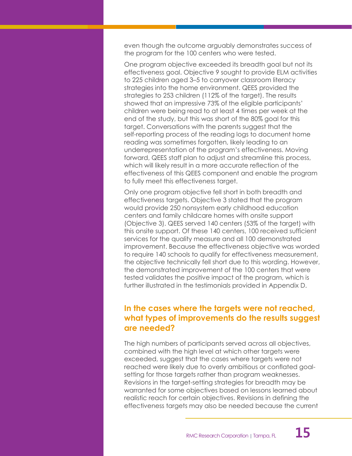even though the outcome arguably demonstrates success of the program for the 100 centers who were tested.

One program objective exceeded its breadth goal but not its effectiveness goal. Objective 9 sought to provide ELM activities to 225 children aged 3–5 to carryover classroom literacy strategies into the home environment. QEES provided the strategies to 253 children (112% of the target). The results showed that an impressive 73% of the eligible participants' children were being read to at least 4 times per week at the end of the study, but this was short of the 80% goal for this target. Conversations with the parents suggest that the self-reporting process of the reading logs to document home reading was sometimes forgotten, likely leading to an underrepresentation of the program's effectiveness. Moving forward, QEES staff plan to adjust and streamline this process, which will likely result in a more accurate reflection of the effectiveness of this QEES component and enable the program to fully meet this effectiveness target.

Only one program objective fell short in both breadth and effectiveness targets. Objective 3 stated that the program would provide 250 nonsystem early childhood education centers and family childcare homes with onsite support (Objective 3). QEES served 140 centers (53% of the target) with this onsite support. Of these 140 centers, 100 received sufficient services for the quality measure and all 100 demonstrated improvement. Because the effectiveness objective was worded to require 140 schools to qualify for effectiveness measurement, the objective technically fell short due to this wording. However, the demonstrated improvement of the 100 centers that were tested validates the positive impact of the program, which is further illustrated in the testimonials provided in Appendix D.

### **In the cases where the targets were not reached, what types of improvements do the results suggest are needed?**

The high numbers of participants served across all objectives, combined with the high level at which other targets were exceeded, suggest that the cases where targets were not reached were likely due to overly ambitious or conflated goalsetting for those targets rather than program weaknesses. Revisions in the target-setting strategies for breadth may be warranted for some objectives based on lessons learned about realistic reach for certain objectives. Revisions in defining the effectiveness targets may also be needed because the current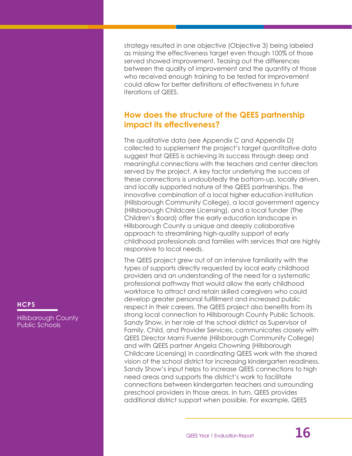strategy resulted in one objective (Objective 3) being labeled as missing the effectiveness target even though 100% of those served showed improvement. Teasing out the differences between the quality of improvement and the quantity of those who received enough training to be tested for improvement could allow for better definitions of effectiveness in future iterations of QEES.

## **How does the structure of the QEES partnership impact its effectiveness?**

The qualitative data (see Appendix C and Appendix D) collected to supplement the project's target quantitative data suggest that QEES is achieving its success through deep and meaningful connections with the teachers and center directors served by the project. A key factor underlying the success of these connections is undoubtedly the bottom-up, locally driven, and locally supported nature of the QEES partnerships. The innovative combination of a local higher education institution (Hillsborough Community College), a local government agency (Hillsborough Childcare Licensing), and a local funder (The Children's Board) offer the early education landscape in Hillsborough County a unique and deeply collaborative approach to streamlining high-quality support of early childhood professionals and families with services that are highly responsive to local needs.

The QEES project grew out of an intensive familiarity with the types of supports directly requested by local early childhood providers and an understanding of the need for a systematic professional pathway that would allow the early childhood workforce to attract and retain skilled caregivers who could develop greater personal fulfillment and increased public respect in their careers. The QEES project also benefits from its strong local connection to Hillsborough County Public Schools. Sandy Show, in her role at the school district as Supervisor of Family, Child, and Provider Services, communicates closely with QEES Director Marni Fuente (Hillsborough Community College) and with QEES partner Angela Chowning (Hillsborough Childcare Licensing) in coordinating QEES work with the shared vision of the school district for increasing kindergarten readiness. Sandy Show's input helps to increase QEES connections to high need areas and supports the district's work to facilitate connections between kindergarten teachers and surrounding preschool providers in those areas. In turn, QEES provides additional district support when possible. For example, QEES

Hillsborough County Public Schools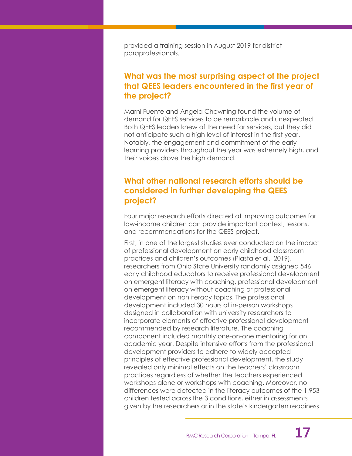provided a training session in August 2019 for district paraprofessionals.

### **What was the most surprising aspect of the project that QEES leaders encountered in the first year of the project?**

Marni Fuente and Angela Chowning found the volume of demand for QEES services to be remarkable and unexpected. Both QEES leaders knew of the need for services, but they did not anticipate such a high level of interest in the first year. Notably, the engagement and commitment of the early learning providers throughout the year was extremely high, and their voices drove the high demand.

### **What other national research efforts should be considered in further developing the QEES project?**

Four major research efforts directed at improving outcomes for low-income children can provide important context, lessons, and recommendations for the QEES project.

First, in one of the largest studies ever conducted on the impact of professional development on early childhood classroom practices and children's outcomes (Piasta et al., 2019), researchers from Ohio State University randomly assigned 546 early childhood educators to receive professional development on emergent literacy with coaching, professional development on emergent literacy without coaching or professional development on nonliteracy topics. The professional development included 30 hours of in-person workshops designed in collaboration with university researchers to incorporate elements of effective professional development recommended by research literature. The coaching component included monthly one-on-one mentoring for an academic year. Despite intensive efforts from the professional development providers to adhere to widely accepted principles of effective professional development, the study revealed only minimal effects on the teachers' classroom practices regardless of whether the teachers experienced workshops alone or workshops with coaching. Moreover, no differences were detected in the literacy outcomes of the 1,953 children tested across the 3 conditions, either in assessments given by the researchers or in the state's kindergarten readiness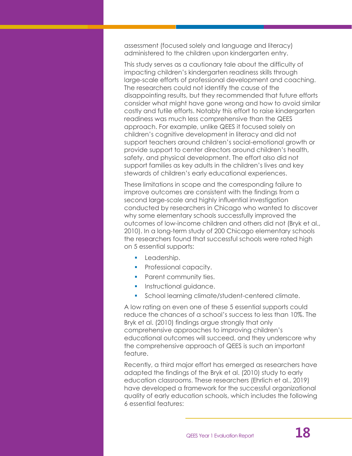assessment (focused solely and language and literacy) administered to the children upon kindergarten entry.

This study serves as a cautionary tale about the difficulty of impacting children's kindergarten readiness skills through large-scale efforts of professional development and coaching. The researchers could not identify the cause of the disappointing results, but they recommended that future efforts consider what might have gone wrong and how to avoid similar costly and futile efforts. Notably this effort to raise kindergarten readiness was much less comprehensive than the QEES approach. For example, unlike QEES it focused solely on children's cognitive development in literacy and did not support teachers around children's social-emotional growth or provide support to center directors around children's health, safety, and physical development. The effort also did not support families as key adults in the children's lives and key stewards of children's early educational experiences.

These limitations in scope and the corresponding failure to improve outcomes are consistent with the findings from a second large-scale and highly influential investigation conducted by researchers in Chicago who wanted to discover why some elementary schools successfully improved the outcomes of low-income children and others did not (Bryk et al., 2010). In a long-term study of 200 Chicago elementary schools the researchers found that successful schools were rated high on 5 essential supports:

- **•** Leadership.
- **•** Professional capacity.
- **•** Parent community ties.
- **·** Instructional quidance.
- **•** School learning climate/student-centered climate.

A low rating on even one of these 5 essential supports could reduce the chances of a school's success to less than 10%. The Bryk et al. (2010) findings argue strongly that only comprehensive approaches to improving children's educational outcomes will succeed, and they underscore why the comprehensive approach of QEES is such an important feature.

Recently, a third major effort has emerged as researchers have adapted the findings of the Bryk et al. (2010) study to early education classrooms. These researchers (Ehrlich et al., 2019) have developed a framework for the successful organizational quality of early education schools, which includes the following 6 essential features: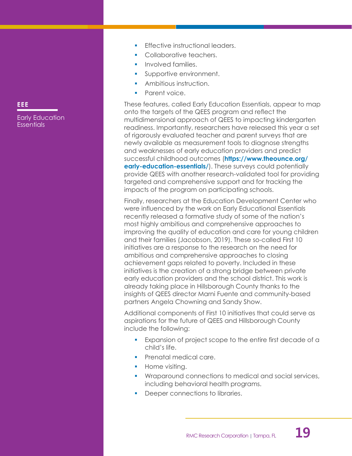- Effective instructional leaders.
- Collaborative teachers.
- **•** Involved families.
- **•** Supportive environment.
- **•** Ambitious instruction.
- Parent voice.

These features, called Early Education Essentials, appear to map onto the targets of the QEES program and reflect the multidimensional approach of QEES to impacting kindergarten readiness. Importantly, researchers have released this year a set of rigorously evaluated teacher and parent surveys that are newly available as measurement tools to diagnose strengths and weaknesses of early education providers and predict successful childhood outcomes (**[https://www.theounce.org/](https://www.theounce.org/early-education-essentials/) [early-education-essentials/](https://www.theounce.org/early-education-essentials/)).** These surveys could potentially provide QEES with another research-validated tool for providing targeted and comprehensive support and for tracking the impacts of the program on participating schools.

Finally, researchers at the Education Development Center who were influenced by the work on Early Educational Essentials recently released a formative study of some of the nation's most highly ambitious and comprehensive approaches to improving the quality of education and care for young children and their families (Jacobson, 2019). These so-called First 10 initiatives are a response to the research on the need for ambitious and comprehensive approaches to closing achievement gaps related to poverty. Included in these initiatives is the creation of a strong bridge between private early education providers and the school district. This work is already taking place in Hillsborough County thanks to the insights of QEES director Marni Fuente and community-based partners Angela Chowning and Sandy Show.

Additional components of First 10 initiatives that could serve as aspirations for the future of QEES and Hillsborough County include the following:

- **Expansion of project scope to the entire first decade of a** child's life.
- **•** Prenatal medical care.
- Home visiting.
- Wraparound connections to medical and social services, including behavioral health programs.
- Deeper connections to libraries.

### **EEE**

Early Education Essentials

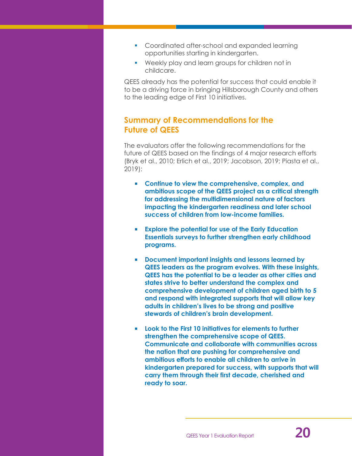- Coordinated after-school and expanded learning opportunities starting in kindergarten.
- Weekly play and learn groups for children not in childcare.

QEES already has the potential for success that could enable it to be a driving force in bringing Hillsborough County and others to the leading edge of First 10 initiatives.

### **Summary of Recommendations for the Future of QEES**

The evaluators offer the following recommendations for the future of QEES based on the findings of 4 major research efforts (Bryk et al., 2010; Erlich et al., 2019; Jacobson, 2019; Piasta et al., 2019):

- **Continue to view the comprehensive, complex, and ambitious scope of the QEES project as a critical strength for addressing the multidimensional nature of factors impacting the kindergarten readiness and later school success of children from low-income families.**
- **Explore the potential for use of the Early Education Essentials surveys to further strengthen early childhood programs.**
- **Document important insights and lessons learned by QEES leaders as the program evolves. With these insights, QEES has the potential to be a leader as other cities and states strive to better understand the complex and comprehensive development of children aged birth to 5 and respond with integrated supports that will allow key adults in children's lives to be strong and positive stewards of children's brain development.**
- **Look to the First 10 initiatives for elements to further strengthen the comprehensive scope of QEES. Communicate and collaborate with communities across the nation that are pushing for comprehensive and ambitious efforts to enable all children to arrive in kindergarten prepared for success, with supports that will carry them through their first decade, cherished and ready to soar.**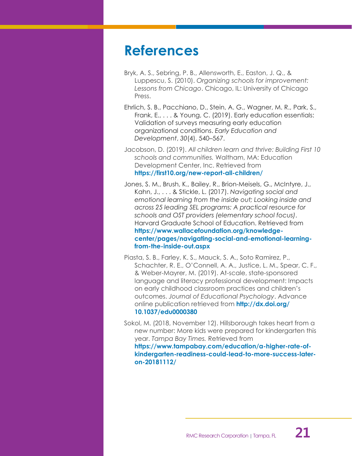## <span id="page-23-0"></span>**References**

- Bryk, A. S., Sebring, P. B., Allensworth, E., Easton, J. Q., & Luppescu, S. (2010). *Organizing schools for improvement: Lessons from Chicago*. Chicago, IL: University of Chicago Press.
- Ehrlich, S. B., Pacchiano, D., Stein, A. G., Wagner, M. R., Park, S., Frank, E., . . . & Young, C. (2019). Early education essentials: Validation of surveys measuring early education organizational conditions. *Early Education and Development*, *30*(4), 540–567.
- Jacobson, D. (2019). *All children learn and thrive: Building First 10 schools and communities.* Waltham, MA: Education Development Center, Inc. Retrieved from **<https://first10.org/new-report-all-children/>**
- Jones, S. M., Brush, K., Bailey, R., Brion-Meisels, G., McIntyre, J., Kahn, J., . . . & Stickle, L. (2017). *Navigating social and emotional learning from the inside out; Looking inside and across 25 leading SEL programs: A practical resource for schools and OST providers (elementary school focus)*. Harvard Graduate School of Education. Retrieved from **[https://www.wallacefoundation.org/knowledge](https://www.wallacefoundation.org/knowledge-center/pages/navigating-social-and-emotional-learning-from-the-inside-out.aspx)[center/pages/navigating-social-and-emotional-learning](https://www.wallacefoundation.org/knowledge-center/pages/navigating-social-and-emotional-learning-from-the-inside-out.aspx)[from-the-inside-out.aspx](https://www.wallacefoundation.org/knowledge-center/pages/navigating-social-and-emotional-learning-from-the-inside-out.aspx)**
- Piasta, S. B., Farley, K. S., Mauck, S. A., Soto Ramirez, P., Schachter, R. E., O'Connell, A. A., Justice, L. M., Spear, C. F., & Weber-Mayrer, M. (2019). At-scale, state-sponsored language and literacy professional development: Impacts on early childhood classroom practices and children's outcomes. *Journal of Educational Psychology*. Advance online publication retrieved from **[http://dx.doi.org/](http://dx.doi.org/10.1037/edu0000380) [10.1037/edu0000380](http://dx.doi.org/10.1037/edu0000380)**
- Sokol, M. (2018, November 12). Hillsborough takes heart from a new number: More kids were prepared for kindergarten this year. *Tampa Bay Times.* Retrieved from **[https://www.tampabay.com/education/a-higher-rate-of](https://www.tampabay.com/education/a-higher-rate-of-kindergarten-readiness-could-lead-to-more-success-later-on-20181112/)[kindergarten-readiness-could-lead-to-more-success-later](https://www.tampabay.com/education/a-higher-rate-of-kindergarten-readiness-could-lead-to-more-success-later-on-20181112/)[on-20181112/](https://www.tampabay.com/education/a-higher-rate-of-kindergarten-readiness-could-lead-to-more-success-later-on-20181112/)**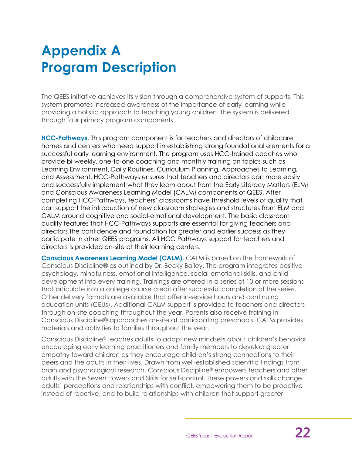# <span id="page-24-0"></span>**Appendix A Program Description**

The QEES initiative achieves its vision through a comprehensive system of supports. This system promotes increased awareness of the importance of early learning while providing a holistic approach to teaching young children. The system is delivered through four primary program components.

**HCC-Pathways.** This program component is for teachers and directors of childcare homes and centers who need support in establishing strong foundational elements for a successful early learning environment. The program uses HCC-trained coaches who provide bi-weekly, one-to-one coaching and monthly training on topics such as Learning Environment, Daily Routines, Curriculum Planning, Approaches to Learning, and Assessment. HCC-Pathways ensures that teachers and directors can more easily and successfully implement what they learn about from the Early Literacy Matters (ELM) and Conscious Awareness Learning Model (CALM) components of QEES. After completing HCC-Pathways, teachers' classrooms have threshold levels of quality that can support the introduction of new classroom strategies and structures from ELM and CALM around cognitive and social-emotional development. The basic classroom quality features that HCC-Pathways supports are essential for giving teachers and directors the confidence and foundation for greater and earlier success as they participate in other QEES programs. All HCC Pathways support for teachers and directors is provided on-site at their learning centers.

**Conscious Awareness Learning Model (CALM).** CALM is based on the framework of Conscious Discipline® as outlined by Dr. Becky Bailey. The program integrates positive psychology, mindfulness, emotional intelligence, social-emotional skills, and child development into every training. Trainings are offered in a series of 10 or more sessions that articulate into a college course credit after successful completion of the series. Other delivery formats are available that offer in-service hours and continuing education units (CEUs). Additional CALM support is provided to teachers and directors through on-site coaching throughout the year. Parents also receive training in Conscious Discipline® approaches on-site at participating preschools. CALM provides materials and activities to families throughout the year.

Conscious Discipline® teaches adults to adopt new mindsets about children's behavior, encouraging early learning practitioners and family members to develop greater empathy toward children as they encourage children's strong connections to their peers and the adults in their lives. Drawn from well-established scientific findings from brain and psychological research, Conscious Discipline® empowers teachers and other adults with the Seven Powers and Skills for self-control. These powers and skills change adults' perceptions and relationships with conflict, empowering them to be proactive instead of reactive, and to build relationships with children that support greater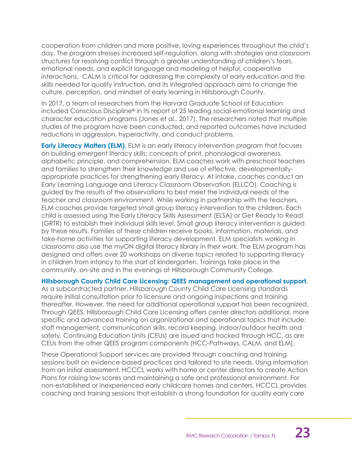cooperation from children and more positive, loving experiences throughout the child's day. The program stresses increased self-regulation, along with strategies and classroom structures for resolving conflict through a greater understanding of children's fears, emotional needs, and explicit language and modeling of helpful, cooperative interactions. CALM is critical for addressing the complexity of early education and the skills needed for quality instruction, and its integrated approach aims to change the culture, perception, and mindset of early learning in Hillsborough County.

In 2017, a team of researchers from the Harvard Graduate School of Education included Conscious Discipline® in its report of 25 leading social-emotional learning and character education programs (Jones et al., 2017). The researchers noted that multiple studies of the program have been conducted, and reported outcomes have included reductions in aggression, hyperactivity, and conduct problems.

**Early Literacy Matters (ELM).** ELM is an early literacy intervention program that focuses on building emergent literacy skills: concepts of print, phonological awareness, alphabetic principle, and comprehension. ELM coaches work with preschool teachers and families to strengthen their knowledge and use of effective, developmentallyappropriate practices for strengthening early literacy. At intake, coaches conduct an Early Learning Language and Literacy Classroom Observation (ELLCO). Coaching is guided by the results of the observations to best meet the individual needs of the teacher and classroom environment. While working in partnership with the teachers, ELM coaches provide targeted small group literacy intervention to the children. Each child is assessed using the Early Literacy Skills Assessment (ELSA) or Get Ready to Read! (GRTR) to establish their individual skills level. Small group literacy intervention is guided by these results. Families of these children receive books, information, materials, and take-home activities for supporting literacy development. ELM specialists working in classrooms also use the myON digital literacy library in their work. The ELM program has designed and offers over 20 workshops on diverse topics related to supporting literacy in children from infancy to the start of kindergarten. Trainings take place in the community, on-site and in the evenings at Hillsborough Community College.

**Hillsborough County Child Care Licensing: QEES management and operational support.**

As a subcontracted partner, Hillsborough County Child Care Licensing standards require initial consultation prior to licensure and ongoing inspections and training thereafter. However, the need for additional operational support has been recognized. Through QEES, Hillsborough Child Care Licensing offers center directors additional, more specific and advanced training on organizational and operational topics that include: staff management, communication skills, record keeping, indoor/outdoor health and safety. Continuing Education Units (CEUs) are issued and tracked through HCC, as are CEUs from the other QEES program components (HCC-Pathways, CALM, and ELM).

These Operational Support services are provided through coaching and training sessions built on evidence-based practices and tailored to site needs. Using information from an initial assessment, HCCCL works with home or center directors to create Action Plans for raising low scores and maintaining a safe and professional environment. For non-established or inexperienced early childcare homes and centers, HCCCL provides coaching and training sessions that establish a strong foundation for quality early care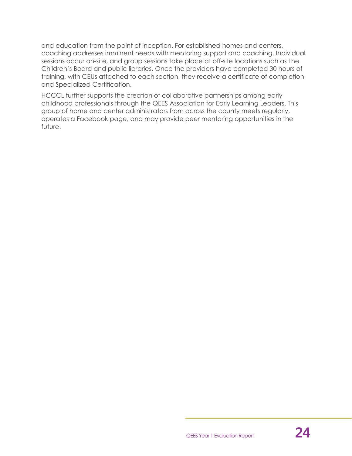and education from the point of inception. For established homes and centers, coaching addresses imminent needs with mentoring support and coaching. Individual sessions occur on-site, and group sessions take place at off-site locations such as The Children's Board and public libraries. Once the providers have completed 30 hours of training, with CEUs attached to each section, they receive a certificate of completion and Specialized Certification.

HCCCL further supports the creation of collaborative partnerships among early childhood professionals through the QEES Association for Early Learning Leaders. This group of home and center administrators from across the county meets regularly, operates a Facebook page, and may provide peer mentoring opportunities in the future.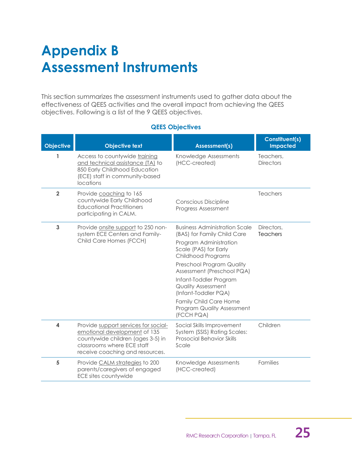# <span id="page-27-0"></span>**Appendix B Assessment Instruments**

This section summarizes the assessment instruments used to gather data about the effectiveness of QEES activities and the overall impact from achieving the QEES objectives. Following is a list of the 9 QEES objectives.

### **QEES Objectives**

| <b>Objective</b> | <b>Objective text</b>                                                                                                                                                      | <b>Assessment(s)</b>                                                                                                                                                                                                                                                                                                                                                | <b>Constituent(s)</b><br><b>Impacted</b> |
|------------------|----------------------------------------------------------------------------------------------------------------------------------------------------------------------------|---------------------------------------------------------------------------------------------------------------------------------------------------------------------------------------------------------------------------------------------------------------------------------------------------------------------------------------------------------------------|------------------------------------------|
| 1                | Access to countywide training<br>and technical assistance (TA) to<br>850 Early Childhood Education<br>(ECE) staff in community-based<br>locations                          | Knowledge Assessments<br>(HCC-created)                                                                                                                                                                                                                                                                                                                              | Teachers,<br><b>Directors</b>            |
| $\overline{2}$   | Provide coaching to 165<br>countywide Early Childhood<br><b>Educational Practitioners</b><br>participating in CALM.                                                        | <b>Conscious Discipline</b><br>Progress Assessment                                                                                                                                                                                                                                                                                                                  | Teachers                                 |
| 3                | Provide onsite support to 250 non-<br>system ECE Centers and Family-<br>Child Care Homes (FCCH)                                                                            | <b>Business Administration Scale</b><br>(BAS) for Family Child Care<br>Program Administration<br>Scale (PAS) for Early<br>Childhood Programs<br>Preschool Program Quality<br>Assessment (Preschool PQA)<br>Infant-Toddler Program<br><b>Quality Assessment</b><br>(Infant-Toddler PQA)<br><b>Family Child Care Home</b><br>Program Quality Assessment<br>(FCCH PQA) | Directors.<br>Teachers                   |
| 4                | Provide support services for social-<br>emotional development of 135<br>countywide children (ages 3-5) in<br>classrooms where ECE staff<br>receive coaching and resources. | Social Skills Improvement<br>System (SSIS) Rating Scales:<br><b>Prosocial Behavior Skills</b><br>Scale                                                                                                                                                                                                                                                              | Children                                 |
| 5                | Provide CALM strategies to 200<br>parents/caregivers of engaged<br>ECE sites countywide                                                                                    | Knowledge Assessments<br>(HCC-created)                                                                                                                                                                                                                                                                                                                              | Families                                 |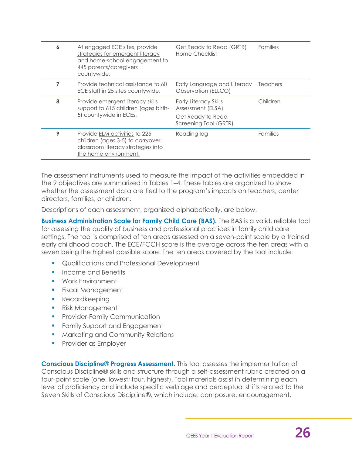| 6 | At engaged ECE sites, provide<br>strategies for emergent literacy<br>and home-school engagement to<br>445 parents/caregivers<br>countywide. | Get Ready to Read (GRTR)<br>Home Checklist                             | <b>Families</b> |
|---|---------------------------------------------------------------------------------------------------------------------------------------------|------------------------------------------------------------------------|-----------------|
| 7 | Provide technical assistance to 60<br>ECE staff in 25 sites countywide.                                                                     | Early Language and Literacy<br>Observation (ELLCO)                     | <b>Teachers</b> |
| 8 | Provide emergent literacy skills<br>support to 615 children (ages birth-<br>5) countywide in ECEs.                                          | <b>Early Literacy Skills</b><br>Assessment (ELSA)<br>Get Ready to Read | Children        |
|   |                                                                                                                                             | Screening Tool (GRTR)                                                  |                 |
| 9 | Provide ELM activities to 225<br>children (ages 3-5) to carryover<br>classroom literacy strategies into<br>the home environment.            | Reading log                                                            | <b>Families</b> |

The assessment instruments used to measure the impact of the activities embedded in the 9 objectives are summarized in Tables 1–4. These tables are organized to show whether the assessment data are tied to the program's impacts on teachers, center directors, families, or children.

Descriptions of each assessment, organized alphabetically, are below.

**Business Administration Scale for Family Child Care (BAS).** The BAS is a valid, reliable tool for assessing the quality of business and professional practices in family child care settings. The tool is comprised of ten areas assessed on a seven-point scale by a trained early childhood coach. The ECE/FCCH score is the average across the ten areas with a seven being the highest possible score. The ten areas covered by the tool include:

- Qualifications and Professional Development
- Income and Benefits
- Work Environment
- **Fiscal Management**
- Recordkeeping
- Risk Management
- **•** Provider-Family Communication
- **•** Family Support and Engagement
- Marketing and Community Relations
- **•** Provider as Employer

**Conscious Discipline**® **Progress Assessment.** This tool assesses the implementation of Conscious Discipline® skills and structure through a self-assessment rubric created on a four-point scale (one, lowest; four, highest). Tool materials assist in determining each level of proficiency and include specific verbiage and perceptual shifts related to the Seven Skills of Conscious Discipline®, which include: composure, encouragement,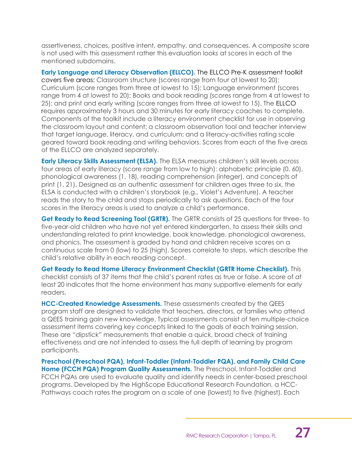assertiveness, choices, positive intent, empathy, and consequences. A composite score is not used with this assessment rather this evaluation looks at scores in each of the mentioned subdomains.

**Early Language and Literacy Observation (ELLCO).** The ELLCO Pre-K assessment toolkit covers five areas: Classroom structure (scores range from four at lowest to 20); Curriculum (score ranges from three at lowest to 15); Language environment (scores range from 4 at lowest to 20); Books and book reading (scores range from 4 at lowest to 25); and print and early writing (score ranges from three at lowest to 15). The ELLCO requires approximately 3 hours and 30 minutes for early literacy coaches to complete. Components of the toolkit include a literacy environment checklist for use in observing the classroom layout and content; a classroom observation tool and teacher interview that target language, literacy, and curriculum; and a literacy-activities rating scale geared toward book reading and writing behaviors. Scores from each of the five areas of the ELLCO are analyzed separately.

**Early Literacy Skills Assessment (ELSA).** The ELSA measures children's skill levels across four areas of early literacy (score range from low to high): alphabetic principle (0, 60), phonological awareness (1, 18), reading comprehension (integer), and concepts of print (1, 21). Designed as an authentic assessment for children ages three to six, the ELSA is conducted with a children's storybook (e.g., Violet's Adventure). A teacher reads the story to the child and stops periodically to ask questions. Each of the four scores in the literacy areas is used to analyze a child's performance.

**Get Ready to Read Screening Tool (GRTR).** The GRTR consists of 25 questions for three- to five-year-old children who have not yet entered kindergarten, to assess their skills and understanding related to print knowledge, book knowledge, phonological awareness, and phonics. The assessment is graded by hand and children receive scores on a continuous scale from 0 (low) to 25 (high). Scores correlate to steps, which describe the child's relative ability in each reading concept.

**Get Ready to Read Home Literacy Environment Checklist (GRTR Home Checklist).** This checklist consists of 37 items that the child's parent rates as true or false. A score of at least 20 indicates that the home environment has many supportive elements for early readers.

**HCC-Created Knowledge Assessments.** These assessments created by the QEES program staff are designed to validate that teachers, directors, or families who attend a QEES training gain new knowledge. Typical assessments consist of ten multiple-choice assessment items covering key concepts linked to the goals of each training session. These are "dipstick" measurements that enable a quick, broad check of training effectiveness and are not intended to assess the full depth of learning by program participants.

**Preschool (Preschool PQA), Infant-Toddler (Infant-Toddler PQA), and Family Child Care Home (FCCH PQA) Program Quality Assessments.** The Preschool, Infant-Toddler and FCCH PQAs are used to evaluate quality and identify needs in center-based preschool programs. Developed by the HighScope Educational Research Foundation, a HCC-Pathways coach rates the program on a scale of one (lowest) to five (highest). Each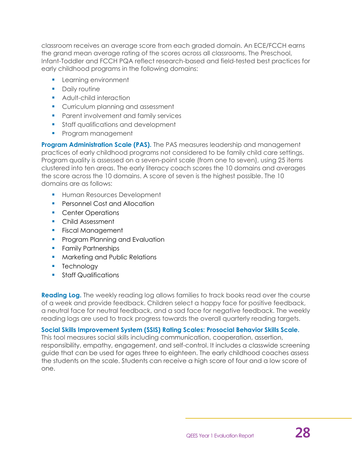classroom receives an average score from each graded domain. An ECE/FCCH earns the grand mean average rating of the scores across all classrooms. The Preschool, Infant-Toddler and FCCH PQA reflect research-based and field-tested best practices for early childhood programs in the following domains:

- **EXEC** Learning environment
- Daily routine
- Adult-child interaction
- Curriculum planning and assessment
- Parent involvement and family services
- Staff qualifications and development
- **Program management**

**Program Administration Scale (PAS).** The PAS measures leadership and management practices of early childhood programs not considered to be family child care settings. Program quality is assessed on a seven-point scale (from one to seven), using 25 items clustered into ten areas. The early literacy coach scores the 10 domains and averages the score across the 10 domains. A score of seven is the highest possible. The 10 domains are as follows:

- **EXECUTE: Human Resources Development**
- Personnel Cost and Allocation
- Center Operations
- Child Assessment
- **•** Fiscal Management
- **Program Planning and Evaluation**
- **•** Family Partnerships
- Marketing and Public Relations
- Technology
- Staff Qualifications

**Reading Log.** The weekly reading log allows families to track books read over the course of a week and provide feedback. Children select a happy face for positive feedback, a neutral face for neutral feedback, and a sad face for negative feedback. The weekly reading logs are used to track progress towards the overall quarterly reading targets.

### **Social Skills Improvement System (SSIS) Rating Scales: Prosocial Behavior Skills Scale.**

This tool measures social skills including communication, cooperation, assertion, responsibility, empathy, engagement, and self-control. It includes a classwide screening guide that can be used for ages three to eighteen. The early childhood coaches assess the students on the scale. Students can receive a high score of four and a low score of one.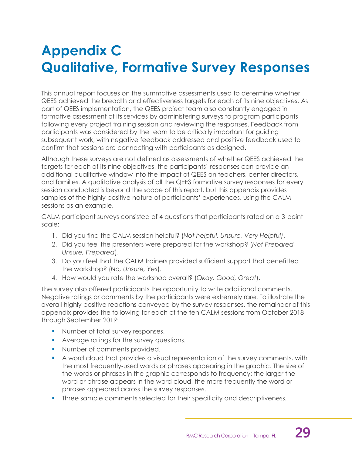# <span id="page-31-0"></span>**Appendix C Qualitative, Formative Survey Responses**

This annual report focuses on the summative assessments used to determine whether QEES achieved the breadth and effectiveness targets for each of its nine objectives. As part of QEES implementation, the QEES project team also constantly engaged in formative assessment of its services by administering surveys to program participants following every project training session and reviewing the responses. Feedback from participants was considered by the team to be critically important for guiding subsequent work, with negative feedback addressed and positive feedback used to confirm that sessions are connecting with participants as designed.

Although these surveys are not defined as assessments of whether QEES achieved the targets for each of its nine objectives, the participants' responses can provide an additional qualitative window into the impact of QEES on teachers, center directors, and families. A qualitative analysis of all the QEES formative survey responses for every session conducted is beyond the scope of this report, but this appendix provides samples of the highly positive nature of participants' experiences, using the CALM sessions as an example.

CALM participant surveys consisted of 4 questions that participants rated on a 3-point scale:

- 1. Did you find the CALM session helpful? (*Not helpful, Unsure, Very Helpful)*.
- 2. Did you feel the presenters were prepared for the workshop? (*Not Prepared, Unsure, Prepared*).
- 3. Do you feel that the CALM trainers provided sufficient support that benefitted the workshop? (*No, Unsure, Yes*).
- 4. How would you rate the workshop overall? (*Okay, Good, Great*).

The survey also offered participants the opportunity to write additional comments. Negative ratings or comments by the participants were extremely rare. To illustrate the overall highly positive reactions conveyed by the survey responses, the remainder of this appendix provides the following for each of the ten CALM sessions from October 2018 through September 2019:

- Number of total survey responses.
- Average ratings for the survey questions.
- Number of comments provided.
- A word cloud that provides a visual representation of the survey comments, with the most frequently-used words or phrases appearing in the graphic. The size of the words or phrases in the graphic corresponds to frequency: the larger the word or phrase appears in the word cloud, the more frequently the word or phrases appeared across the survey responses.
- **•** Three sample comments selected for their specificity and descriptiveness.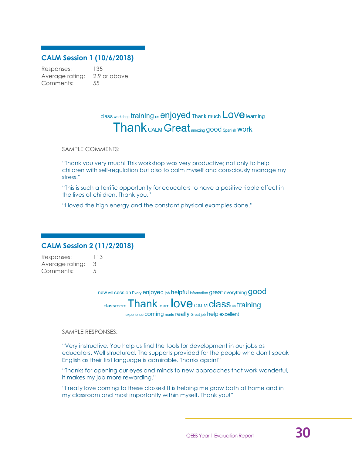### **CALM Session 1 (10/6/2018)**

Responses: 135 Average rating: 2.9 or above Comments: 55

## class workshop training us enjoyed Thank much LOVE learning **Thank** CALM Great amazing good spanish Work

SAMPLE COMMENTS:

"Thank you very much! This workshop was very productive; not only to help children with self-regulation but also to calm myself and consciously manage my stress."

"This is such a terrific opportunity for educators to have a positive ripple effect in the lives of children. Thank you."

"I loved the high energy and the constant physical examples done."

### **CALM Session 2 (11/2/2018)**

Responses: 113 Average rating: 3 Comments: 51

new will session Every enjoyed job helpful information great everything **GOOC** 

## $_{\text{classroom}}$   $\text{Thank}_{\text{learn}}$   $\text{love}_{\text{CALM}}$   $\text{class}_{\text{us}}$  training

experience **COMING** made really Great job help excellent

SAMPLE RESPONSES:

"Very instructive. You help us find the tools for development in our jobs as educators. Well structured. The supports provided for the people who don't speak English as their first language is admirable. Thanks again!"

"Thanks for opening our eyes and minds to new approaches that work wonderful, it makes my job more rewarding."

"I really love coming to these classes! It is helping me grow both at home and in my classroom and most importantly within myself. Thank you!"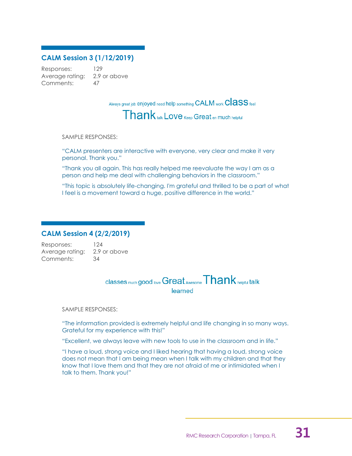### **CALM Session 3 (1/12/2019)**

Responses: 129 Average rating: 2.9 or above Comments: 47

Always great job enjoyed need help something CALM work ClaSS feel

Thank talk Love Keep Great en much helpful

SAMPLE RESPONSES:

"CALM presenters are interactive with everyone, very clear and make it very personal. Thank you."

"Thank you all again. This has really helped me reevaluate the way I am as a person and help me deal with challenging behaviors in the classroom."

"This topic is absolutely life-changing. I'm grateful and thrilled to be a part of what I feel is a movement toward a huge, positive difference in the world."

### **CALM Session 4 (2/2/2019)**

Responses: 124 Average rating: 2.9 or above Comments: 34

 $\alpha$  classes much good love Great Awesome  $\textsf{Thank}_{\textsf{helpful}}$  talk learned

SAMPLE RESPONSES:

"The information provided is extremely helpful and life changing in so many ways. Grateful for my experience with this!"

"Excellent, we always leave with new tools to use in the classroom and in life."

"I have a loud, strong voice and I liked hearing that having a loud, strong voice does not mean that I am being mean when I talk with my children and that they know that I love them and that they are not afraid of me or intimidated when I talk to them. Thank you!"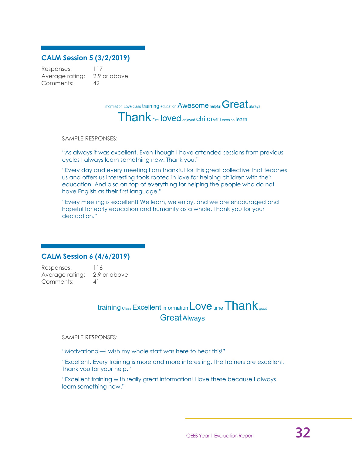### **CALM Session 5 (3/2/2019)**

Responses: 117 Average rating: 2.9 or above Comments: 42

information Love class training education  $\mathsf{A}$ wesome helpful  $\mathsf{Great}$  always

 $\mathsf{T}$  hank  $_{\mathsf{First}}$  loved  $_{\mathsf{enjoyed}}$  children  $_{\mathsf{session}}$  learn

#### SAMPLE RESPONSES:

"As always it was excellent. Even though I have attended sessions from previous cycles I always learn something new. Thank you."

"Every day and every meeting I am thankful for this great collective that teaches us and offers us interesting tools rooted in love for helping children with their education. And also on top of everything for helping the people who do not have English as their first language."

"Every meeting is excellent! We learn, we enjoy, and we are encouraged and hopeful for early education and humanity as a whole. Thank you for your dedication."

### **CALM Session 6 (4/6/2019)**

Responses: 116 Average rating: 2.9 or above Comments: 41

## $\text{training } \text{Class } \textsf{Excellent} \text{ information } \textsf{Love} \text{ time } \textcolor{red}{\textbf{Thank}} \text{ good}$ **Great Always**

SAMPLE RESPONSES:

"Motivational—I wish my whole staff was here to hear this!"

"Excellent. Every training is more and more interesting. The trainers are excellent. Thank you for your help."

"Excellent training with really great information! I love these because I always learn something new."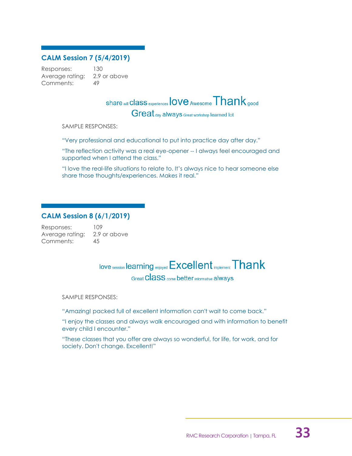### **CALM Session 7 (5/4/2019)**

Responses: 130 Average rating: 2.9 or above Comments: 49

## share will **Class** experiences love Awesome Thank good

Great day always Great workshop learned lot

SAMPLE RESPONSES:

"Very professional and educational to put into practice day after day."

"The reflection activity was a real eye-opener -- I always feel encouraged and supported when I attend the class."

"I love the real-life situations to relate to. It's always nice to hear someone else share those thoughts/experiences. Makes it real."

### **CALM Session 8 (6/1/2019)**

Responses: 109 Average rating: 2.9 or above Comments: 45

love session learning enjoyed Excellent implement Thank

Great Class come better informative always

SAMPLE RESPONSES:

"Amazing! packed full of excellent information can't wait to come back."

"I enjoy the classes and always walk encouraged and with information to benefit every child I encounter."

"These classes that you offer are always so wonderful, for life, for work, and for society. Don't change. Excellent!"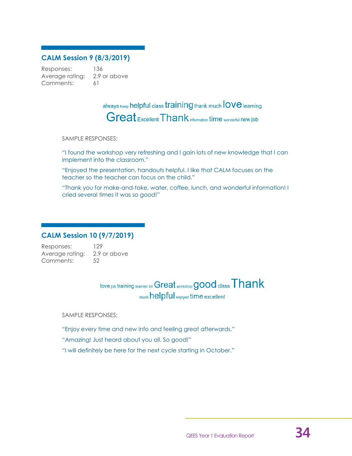### **CALM Session 9 (8/3/2019)**

Responses: 136 Average rating: 2.9 or above Comments: 61

> always Keep helpful class training thank much love learning Great Excellent Thank information time wonderful new job

#### SAMPLE RESPONSES:

"I found the workshop very refreshing and I gain lots of new knowledge that I can implement into the classroom."

"Enjoyed the presentation, handouts helpful. I like that CALM focuses on the teacher so the teacher can focus on the child."

"Thank you for make-and-take, water, coffee, lunch, and wonderful information! I cried several times it was so good!"

### **CALM Session 10 (9/7/2019)**

Responses: 129 Average rating: 2.9 or above Comments: 52

> love job training learned lot Great workshop good class Thank much helpful enjoyed time excellent

SAMPLE RESPONSES:

"Enjoy every time and new info and feeling great afterwards."

"Amazing! Just heard about you all. So good!"

"I will definitely be here for the next cycle starting in October."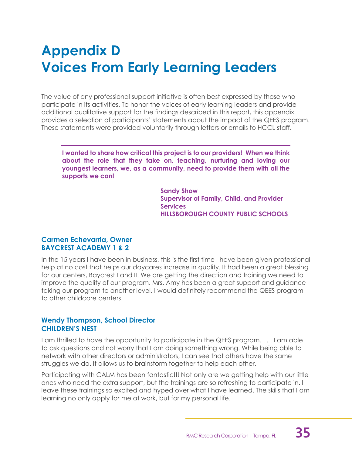# <span id="page-37-0"></span>**Appendix D Voices From Early Learning Leaders**

The value of any professional support initiative is often best expressed by those who participate in its activities. To honor the voices of early learning leaders and provide additional qualitative support for the findings described in this report, this appendix provides a selection of participants' statements about the impact of the QEES program. These statements were provided voluntarily through letters or emails to HCCL staff.

**I wanted to share how critical this project is to our providers! When we think about the role that they take on, teaching, nurturing and loving our youngest learners, we, as a community, need to provide them with all the supports we can!**

> **Sandy Show Supervisor of Family, Child, and Provider Services HILLSBOROUGH COUNTY PUBLIC SCHOOLS**

### **Carmen Echevarria, Owner BAYCREST ACADEMY 1 & 2**

In the 15 years I have been in business, this is the first time I have been given professional help at no cost that helps our daycares increase in quality. It had been a great blessing for our centers, Baycrest I and II. We are getting the direction and training we need to improve the quality of our program. Mrs. Amy has been a great support and guidance taking our program to another level. I would definitely recommend the QEES program to other childcare centers.

### **Wendy Thompson, School Director CHILDREN'S NEST**

I am thrilled to have the opportunity to participate in the QEES program. . . . I am able to ask questions and not worry that I am doing something wrong. While being able to network with other directors or administrators, I can see that others have the same struggles we do. It allows us to brainstorm together to help each other.

Participating with CALM has been fantastic!!! Not only are we getting help with our little ones who need the extra support, but the trainings are so refreshing to participate in. I leave these trainings so excited and hyped over what I have learned. The skills that I am learning no only apply for me at work, but for my personal life.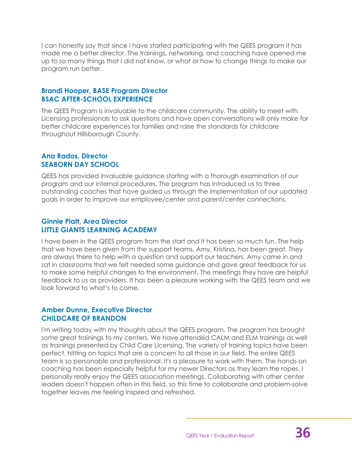I can honestly say that since I have started participating with the QEES program it has made me a better director. The trainings, networking, and coaching have opened me up to so many things that I did not know, or what or how to change things to make our program run better.

### **Brandi Hooper, BASE Program Director BSAC AFTER-SCHOOL EXPERIENCE**

The QEES Program is invaluable to the childcare community. The ability to meet with Licensing professionals to ask questions and have open conversations will only make for better childcare experiences for families and raise the standards for childcare throughout Hillsborough County.

### **Ana Rados, Director SEABORN DAY SCHOOL**

QEES has provided invaluable guidance starting with a thorough examination of our program and our internal procedures. The program has introduced us to three outstanding coaches that have guided us through the implementation of our updated goals in order to improve our employee/center and parent/center connections.

### **Ginnie Platt, Area Director LITTLE GIANTS LEARNING ACADEMY**

I have been in the QEES program from the start and it has been so much fun. The help that we have been given from the support teams, Amy, Kristina, has been great. They are always there to help with a question and support our teachers. Amy came in and sat in classrooms that we felt needed some guidance and gave great feedback for us to make some helpful changes to the environment. The meetings they have are helpful feedback to us as providers. It has been a pleasure working with the QEES team and we look forward to what's to come.

### **Amber Dunne, Executive Director CHILDCARE OF BRANDON**

I'm writing today with my thoughts about the QEES program. The program has brought some great trainings to my centers. We have attended CALM and ELM trainings as well as trainings presented by Child Care Licensing. The variety of training topics have been perfect, hitting on topics that are a concern to all those in our field. The entire QEES team is so personable and professional. It's a pleasure to work with them. The hands-on coaching has been especially helpful for my newer Directors as they learn the ropes. I personally really enjoy the QEES association meetings. Collaborating with other center leaders doesn't happen often in this field, so this time to collaborate and problem-solve together leaves me feeling inspired and refreshed.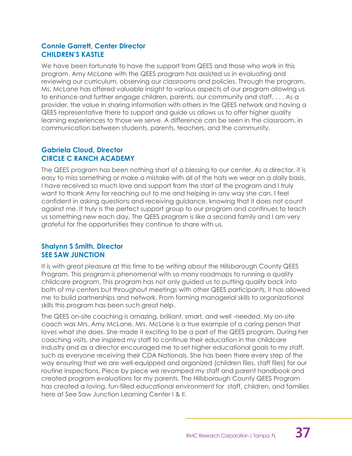### **Connie Garrett, Center Director CHILDREN'S KASTLE**

We have been fortunate to have the support from QEES and those who work in this program. Amy McLane with the QEES program has assisted us in evaluating and reviewing our curriculum, observing our classrooms and policies. Through the program, Ms. McLane has offered valuable insight to various aspects of our program allowing us to enhance and further engage children, parents, our community and staff. . . . As a provider, the value in sharing information with others in the QEES network and having a QEES representative there to support and guide us allows us to offer higher quality learning experiences to those we serve. A difference can be seen in the classroom, in communication between students, parents, teachers, and the community.

### **Gabriela Cloud, Director CIRCLE C RANCH ACADEMY**

The QEES program has been nothing short of a blessing to our center. As a director, it is easy to miss something or make a mistake with all of the hats we wear on a daily basis. I have received so much love and support from the start of the program and I truly want to thank Amy for reaching out to me and helping in any way she can. I feel confident in asking questions and receiving guidance, knowing that it does not count against me. It truly is the perfect support group to our program and continues to teach us something new each day. The QEES program is like a second family and I am very grateful for the opportunities they continue to share with us.

### **Shalynn S Smith, Director SEE SAW JUNCTION**

It is with great pleasure at this time to be writing about the Hillsborough County QEES Program. This program is phenomenal with so many roadmaps to running a quality childcare program. This program has not only guided us to putting quality back into both of my centers but throughout meetings with other QEES participants, it has allowed me to build partnerships and network. From forming managerial skills to organizational skills this program has been such great help.

The QEES on-site coaching is amazing, brilliant, smart, and well -needed. My on-site coach was Mrs. Amy McLane. Mrs. McLane is a true example of a caring person that loves what she does. She made it exciting to be a part of the QEES program. During her coaching visits, she inspired my staff to continue their education in the childcare industry and as a director encouraged me to set higher educational goals to my staff, such as everyone receiving their CDA Nationals. She has been there every step of the way ensuring that we are well-equipped and organized (children files, staff files) for our routine inspections. Piece by piece we revamped my staff and parent handbook and created program evaluations for my parents. The Hillsborough County QEES Program has created a loving, fun-filled educational environment for staff, children, and families here at See Saw Junction Learning Center I & II.